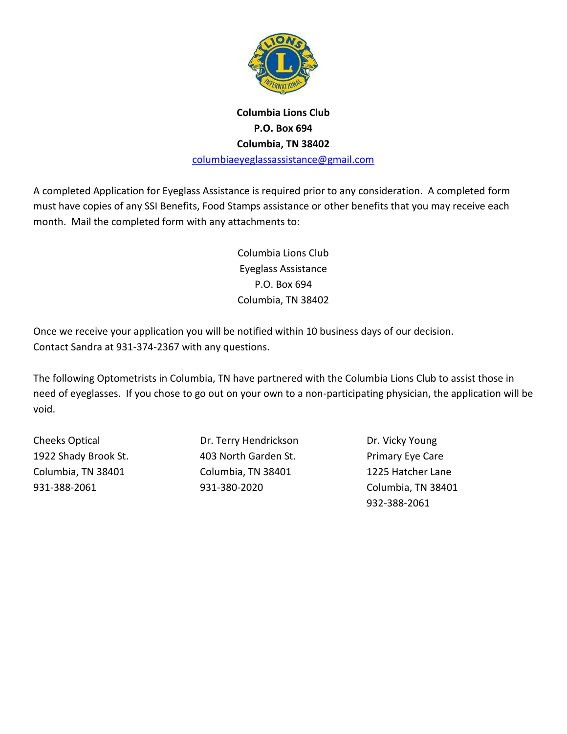

## **Columbia Lions Club P.O. Box 694 Columbia, TN 38402**

[columbiaeyeglassassistance@gmail.com](mailto:columbiaeyeglassassistance@gmail.com)

A completed Application for Eyeglass Assistance is required prior to any consideration. A completed form must have copies of any SSI Benefits, Food Stamps assistance or other benefits that you may receive each month. Mail the completed form with any attachments to:

> Columbia Lions Club Eyeglass Assistance P.O. Box 694 Columbia, TN 38402

Once we receive your application you will be notified within 10 business days of our decision. Contact Sandra at 931-374-2367 with any questions.

The following Optometrists in Columbia, TN have partnered with the Columbia Lions Club to assist those in need of eyeglasses. If you chose to go out on your own to a non-participating physician, the application will be void.

Cheeks Optical Dr. Terry Hendrickson Dr. Vicky Young 1922 Shady Brook St. 403 North Garden St. Primary Eye Care Columbia, TN 38401 Columbia, TN 38401 1225 Hatcher Lane 931-388-2061 931-380-2020 Columbia, TN 38401

932-388-2061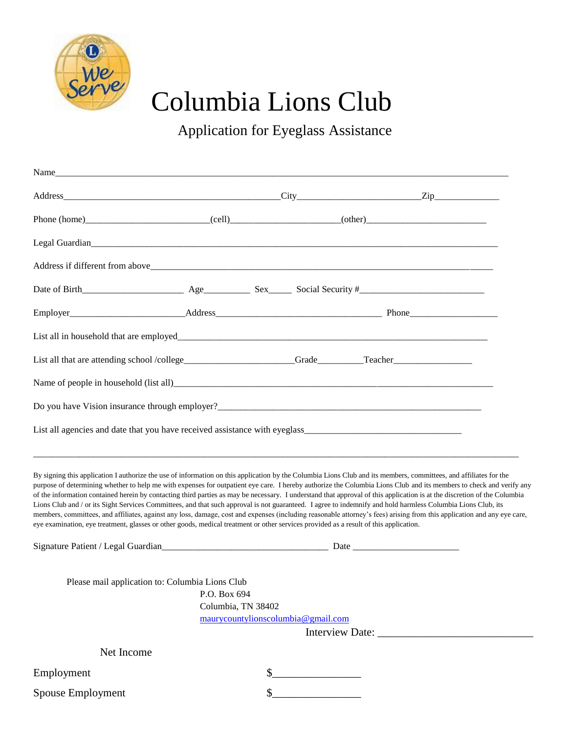

## We<br>Jerve Columbia Lions Club

Application for Eyeglass Assistance

| List all that are attending school /college_____________________Grade_________Teacher_________________________                                                                                                                                                                                                                                                                                                                                                                                                                                                                                                                                                                                                                                                                                                                                                                                                                                                                                           |                                    |                                    |  |
|----------------------------------------------------------------------------------------------------------------------------------------------------------------------------------------------------------------------------------------------------------------------------------------------------------------------------------------------------------------------------------------------------------------------------------------------------------------------------------------------------------------------------------------------------------------------------------------------------------------------------------------------------------------------------------------------------------------------------------------------------------------------------------------------------------------------------------------------------------------------------------------------------------------------------------------------------------------------------------------------------------|------------------------------------|------------------------------------|--|
|                                                                                                                                                                                                                                                                                                                                                                                                                                                                                                                                                                                                                                                                                                                                                                                                                                                                                                                                                                                                          |                                    |                                    |  |
|                                                                                                                                                                                                                                                                                                                                                                                                                                                                                                                                                                                                                                                                                                                                                                                                                                                                                                                                                                                                          |                                    |                                    |  |
|                                                                                                                                                                                                                                                                                                                                                                                                                                                                                                                                                                                                                                                                                                                                                                                                                                                                                                                                                                                                          |                                    |                                    |  |
| By signing this application I authorize the use of information on this application by the Columbia Lions Club and its members, committees, and affiliates for the<br>purpose of determining whether to help me with expenses for outpatient eye care. I hereby authorize the Columbia Lions Club and its members to check and verify any<br>of the information contained herein by contacting third parties as may be necessary. I understand that approval of this application is at the discretion of the Columbia<br>Lions Club and / or its Sight Services Committees, and that such approval is not guaranteed. I agree to indemnify and hold harmless Columbia Lions Club, its<br>members, committees, and affiliates, against any loss, damage, cost and expenses (including reasonable attorney's fees) arising from this application and any eye care,<br>eye examination, eye treatment, glasses or other goods, medical treatment or other services provided as a result of this application. |                                    |                                    |  |
|                                                                                                                                                                                                                                                                                                                                                                                                                                                                                                                                                                                                                                                                                                                                                                                                                                                                                                                                                                                                          |                                    |                                    |  |
| Please mail application to: Columbia Lions Club                                                                                                                                                                                                                                                                                                                                                                                                                                                                                                                                                                                                                                                                                                                                                                                                                                                                                                                                                          | P.O. Box 694<br>Columbia, TN 38402 | maurycountylionscolumbia@gmail.com |  |
| Net Income                                                                                                                                                                                                                                                                                                                                                                                                                                                                                                                                                                                                                                                                                                                                                                                                                                                                                                                                                                                               |                                    |                                    |  |
| Employment                                                                                                                                                                                                                                                                                                                                                                                                                                                                                                                                                                                                                                                                                                                                                                                                                                                                                                                                                                                               |                                    |                                    |  |
| Spouse Employment                                                                                                                                                                                                                                                                                                                                                                                                                                                                                                                                                                                                                                                                                                                                                                                                                                                                                                                                                                                        |                                    |                                    |  |